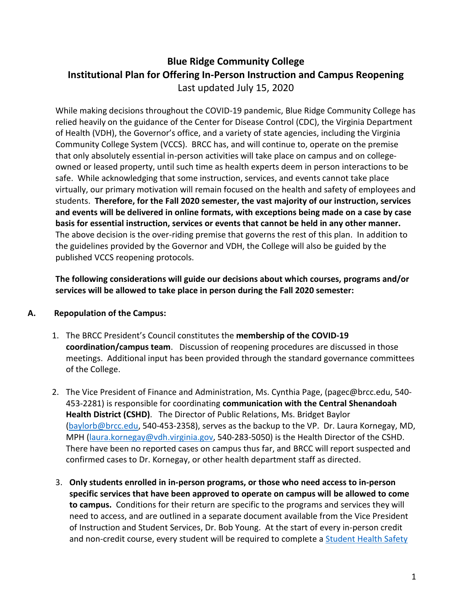# **Blue Ridge Community College Institutional Plan for Offering In-Person Instruction and Campus Reopening** Last updated July 15, 2020

While making decisions throughout the COVID-19 pandemic, Blue Ridge Community College has relied heavily on the guidance of the Center for Disease Control (CDC), the Virginia Department of Health (VDH), the Governor's office, and a variety of state agencies, including the Virginia Community College System (VCCS). BRCC has, and will continue to, operate on the premise that only absolutely essential in-person activities will take place on campus and on collegeowned or leased property, until such time as health experts deem in person interactions to be safe. While acknowledging that some instruction, services, and events cannot take place virtually, our primary motivation will remain focused on the health and safety of employees and students. **Therefore, for the Fall 2020 semester, the vast majority of our instruction, services and events will be delivered in online formats, with exceptions being made on a case by case basis for essential instruction, services or events that cannot be held in any other manner.**  The above decision is the over-riding premise that governs the rest of this plan. In addition to the guidelines provided by the Governor and VDH, the College will also be guided by the published VCCS reopening protocols.

**The following considerations will guide our decisions about which courses, programs and/or services will be allowed to take place in person during the Fall 2020 semester:**

## **A. Repopulation of the Campus:**

- 1. The BRCC President's Council constitutes the **membership of the COVID-19 coordination/campus team**. Discussion of reopening procedures are discussed in those meetings. Additional input has been provided through the standard governance committees of the College.
- 2. The Vice President of Finance and Administration, Ms. Cynthia Page, (pagec@brcc.edu, 540- 453-2281) is responsible for coordinating **communication with the Central Shenandoah Health District (CSHD)**. The Director of Public Relations, Ms. Bridget Baylor [\(baylorb@brcc.edu,](mailto:baylorb@brcc.edu) 540-453-2358), serves as the backup to the VP. Dr. Laura Kornegay, MD, MPH [\(laura.kornegay@vdh.virginia.gov,](mailto:laura.kornegay@vdh.virginia.gov) 540-283-5050) is the Health Director of the CSHD. There have been no reported cases on campus thus far, and BRCC will report suspected and confirmed cases to Dr. Kornegay, or other health department staff as directed.
- 3. **Only students enrolled in in-person programs, or those who need access to in-person specific services that have been approved to operate on campus will be allowed to come to campus.** Conditions for their return are specific to the programs and services they will need to access, and are outlined in a separate document available from the Vice President of Instruction and Student Services, Dr. Bob Young. At the start of every in-person credit and non-credit course, every student will be required to complete a [Student Health Safety](https://www.brcc.edu/Assets/uploads/files/student-health-safety-agreement.pdf)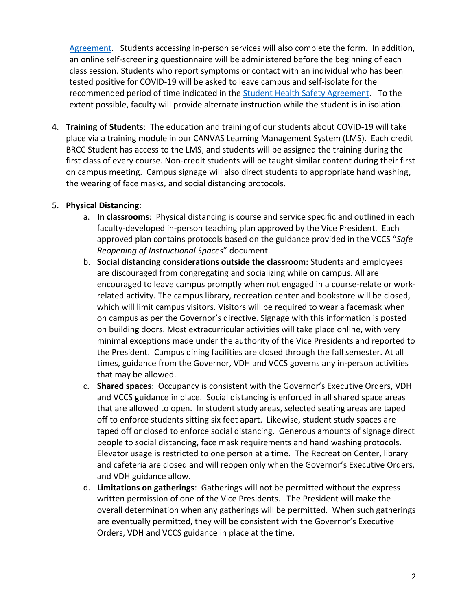[Agreement.](https://www.brcc.edu/Assets/uploads/files/student-health-safety-agreement.pdf) Students accessing in-person services will also complete the form. In addition, an online self-screening questionnaire will be administered before the beginning of each class session. Students who report symptoms or contact with an individual who has been tested positive for COVID-19 will be asked to leave campus and self-isolate for the recommended period of time indicated in the [Student Health Safety Agreement.](https://www.brcc.edu/Assets/uploads/files/student-health-safety-agreement.pdf) To the extent possible, faculty will provide alternate instruction while the student is in isolation.

4. **Training of Students**: The education and training of our students about COVID-19 will take place via a training module in our CANVAS Learning Management System (LMS). Each credit BRCC Student has access to the LMS, and students will be assigned the training during the first class of every course. Non-credit students will be taught similar content during their first on campus meeting. Campus signage will also direct students to appropriate hand washing, the wearing of face masks, and social distancing protocols.

#### 5. **Physical Distancing**:

- a. **In classrooms**: Physical distancing is course and service specific and outlined in each faculty-developed in-person teaching plan approved by the Vice President. Each approved plan contains protocols based on the guidance provided in the VCCS "*Safe Reopening of Instructional Spaces*" document.
- b. **Social distancing considerations outside the classroom:** Students and employees are discouraged from congregating and socializing while on campus. All are encouraged to leave campus promptly when not engaged in a course-relate or workrelated activity. The campus library, recreation center and bookstore will be closed, which will limit campus visitors. Visitors will be required to wear a facemask when on campus as per the Governor's directive. Signage with this information is posted on building doors. Most extracurricular activities will take place online, with very minimal exceptions made under the authority of the Vice Presidents and reported to the President. Campus dining facilities are closed through the fall semester. At all times, guidance from the Governor, VDH and VCCS governs any in-person activities that may be allowed.
- c. **Shared spaces**: Occupancy is consistent with the Governor's Executive Orders, VDH and VCCS guidance in place. Social distancing is enforced in all shared space areas that are allowed to open. In student study areas, selected seating areas are taped off to enforce students sitting six feet apart. Likewise, student study spaces are taped off or closed to enforce social distancing. Generous amounts of signage direct people to social distancing, face mask requirements and hand washing protocols. Elevator usage is restricted to one person at a time. The Recreation Center, library and cafeteria are closed and will reopen only when the Governor's Executive Orders, and VDH guidance allow.
- d. **Limitations on gatherings**: Gatherings will not be permitted without the express written permission of one of the Vice Presidents. The President will make the overall determination when any gatherings will be permitted. When such gatherings are eventually permitted, they will be consistent with the Governor's Executive Orders, VDH and VCCS guidance in place at the time.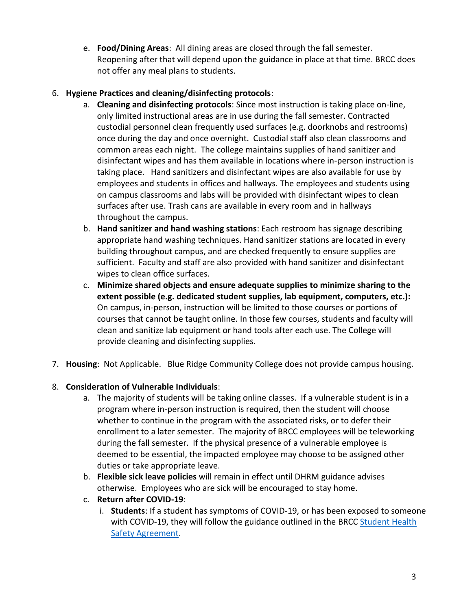e. **Food/Dining Areas**: All dining areas are closed through the fall semester. Reopening after that will depend upon the guidance in place at that time. BRCC does not offer any meal plans to students.

## 6. **Hygiene Practices and cleaning/disinfecting protocols**:

- a. **Cleaning and disinfecting protocols**: Since most instruction is taking place on-line, only limited instructional areas are in use during the fall semester. Contracted custodial personnel clean frequently used surfaces (e.g. doorknobs and restrooms) once during the day and once overnight. Custodial staff also clean classrooms and common areas each night. The college maintains supplies of hand sanitizer and disinfectant wipes and has them available in locations where in-person instruction is taking place. Hand sanitizers and disinfectant wipes are also available for use by employees and students in offices and hallways. The employees and students using on campus classrooms and labs will be provided with disinfectant wipes to clean surfaces after use. Trash cans are available in every room and in hallways throughout the campus.
- b. **Hand sanitizer and hand washing stations**: Each restroom has signage describing appropriate hand washing techniques. Hand sanitizer stations are located in every building throughout campus, and are checked frequently to ensure supplies are sufficient. Faculty and staff are also provided with hand sanitizer and disinfectant wipes to clean office surfaces.
- c. **Minimize shared objects and ensure adequate supplies to minimize sharing to the extent possible (e.g. dedicated student supplies, lab equipment, computers, etc.):** On campus, in-person, instruction will be limited to those courses or portions of courses that cannot be taught online. In those few courses, students and faculty will clean and sanitize lab equipment or hand tools after each use. The College will provide cleaning and disinfecting supplies.
- 7. **Housing**: Not Applicable. Blue Ridge Community College does not provide campus housing.

## 8. **Consideration of Vulnerable Individuals**:

- a. The majority of students will be taking online classes. If a vulnerable student is in a program where in-person instruction is required, then the student will choose whether to continue in the program with the associated risks, or to defer their enrollment to a later semester. The majority of BRCC employees will be teleworking during the fall semester. If the physical presence of a vulnerable employee is deemed to be essential, the impacted employee may choose to be assigned other duties or take appropriate leave.
- b. **Flexible sick leave policies** will remain in effect until DHRM guidance advises otherwise. Employees who are sick will be encouraged to stay home.
- c. **Return after COVID-19**:
	- i. **Students**: If a student has symptoms of COVID-19, or has been exposed to someone with COVID-19, they will follow the guidance outlined in the BRCC [Student Health](https://www.brcc.edu/Assets/uploads/files/student-health-safety-agreement.pdf)  [Safety Agreement.](https://www.brcc.edu/Assets/uploads/files/student-health-safety-agreement.pdf)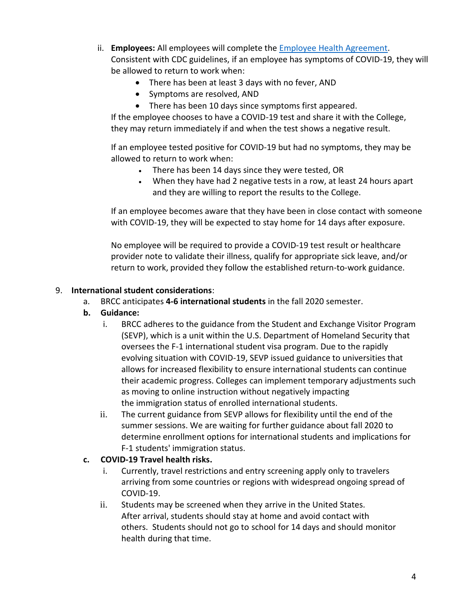- ii. **Employees:** All employees will complete the [Employee Health Agreement.](https://www.brcc.edu/Assets/uploads/files/employee-health-agreement.pdf) Consistent with CDC guidelines, if an employee has symptoms of COVID-19, they will be allowed to return to work when:
	- There has been at least 3 days with no fever, AND
	- Symptoms are resolved, AND
	- There has been 10 days since symptoms first appeared.

If the employee chooses to have a COVID-19 test and share it with the College, they may return immediately if and when the test shows a negative result.

If an employee tested positive for COVID-19 but had no symptoms, they may be allowed to return to work when:

- There has been 14 days since they were tested, OR
- When they have had 2 negative tests in a row, at least 24 hours apart and they are willing to report the results to the College.

If an employee becomes aware that they have been in close contact with someone with COVID-19, they will be expected to stay home for 14 days after exposure.

No employee will be required to provide a COVID-19 test result or healthcare provider note to validate their illness, qualify for appropriate sick leave, and/or return to work, provided they follow the established return-to-work guidance.

## 9. **International student considerations**:

- a. BRCC anticipates **4-6 international students** in the fall 2020 semester.
- **b. Guidance:**
	- i. BRCC adheres to the guidance from the Student and Exchange Visitor Program (SEVP), which is a unit within the U.S. Department of Homeland Security that oversees the F-1 international student visa program. Due to the rapidly evolving situation with COVID-19, SEVP issued guidance to universities that allows for increased flexibility to ensure international students can continue their academic progress. Colleges can implement temporary adjustments such as moving to online instruction without negatively impacting the immigration status of enrolled international students.
	- ii. The current guidance from SEVP allows for flexibility until the end of the summer sessions. We are waiting for further guidance about fall 2020 to determine enrollment options for international students and implications for F-1 students' immigration status.

## **c. COVID-19 Travel health risks.**

- i. Currently, travel restrictions and entry screening apply only to travelers arriving from some countries or regions with widespread ongoing spread of COVID-19.
- ii. Students may be screened when they arrive in the United States. After arrival, students should stay at home and avoid contact with others. Students should not go to school for 14 days and should monitor health during that time.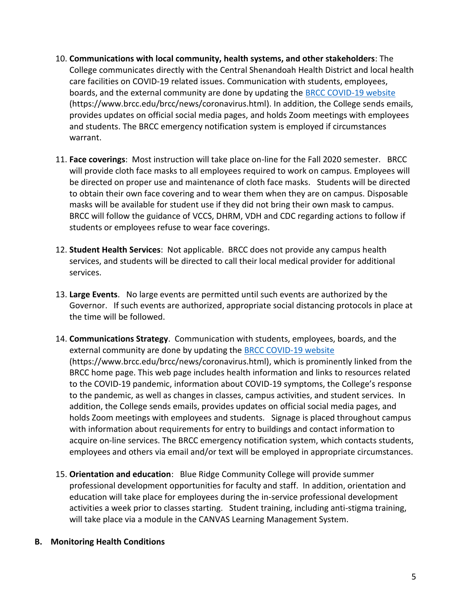- 10. **Communications with local community, health systems, and other stakeholders**: The College communicates directly with the Central Shenandoah Health District and local health care facilities on COVID-19 related issues. Communication with students, employees, boards, and the external community are done by updating the [BRCC COVID-19 website](https://www.brcc.edu/brcc/news/coronavirus.html) (https://www.brcc.edu/brcc/news/coronavirus.html). In addition, the College sends emails, provides updates on official social media pages, and holds Zoom meetings with employees and students. The BRCC emergency notification system is employed if circumstances warrant.
- 11. **Face coverings**: Most instruction will take place on-line for the Fall 2020 semester. BRCC will provide cloth face masks to all employees required to work on campus. Employees will be directed on proper use and maintenance of cloth face masks. Students will be directed to obtain their own face covering and to wear them when they are on campus. Disposable masks will be available for student use if they did not bring their own mask to campus. BRCC will follow the guidance of VCCS, DHRM, VDH and CDC regarding actions to follow if students or employees refuse to wear face coverings.
- 12. **Student Health Services**: Not applicable. BRCC does not provide any campus health services, and students will be directed to call their local medical provider for additional services.
- 13. **Large Events**. No large events are permitted until such events are authorized by the Governor. If such events are authorized, appropriate social distancing protocols in place at the time will be followed.
- 14. **Communications Strategy**. Communication with students, employees, boards, and the external community are done by updating the [BRCC COVID-19](https://www.brcc.edu/brcc/news/coronavirus.html) website (https://www.brcc.edu/brcc/news/coronavirus.html), which is prominently linked from the BRCC home page. This web page includes health information and links to resources related to the COVID-19 pandemic, information about COVID-19 symptoms, the College's response to the pandemic, as well as changes in classes, campus activities, and student services. In addition, the College sends emails, provides updates on official social media pages, and holds Zoom meetings with employees and students. Signage is placed throughout campus with information about requirements for entry to buildings and contact information to acquire on-line services. The BRCC emergency notification system, which contacts students, employees and others via email and/or text will be employed in appropriate circumstances.
- 15. **Orientation and education**: Blue Ridge Community College will provide summer professional development opportunities for faculty and staff. In addition, orientation and education will take place for employees during the in-service professional development activities a week prior to classes starting. Student training, including anti-stigma training, will take place via a module in the CANVAS Learning Management System.

#### **B. Monitoring Health Conditions**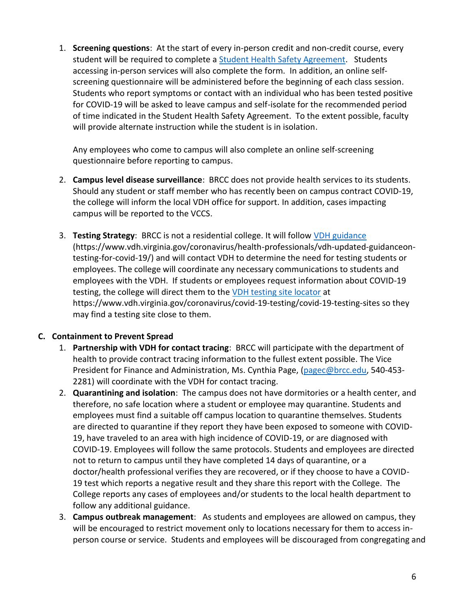1. **Screening questions**: At the start of every in-person credit and non-credit course, every student will be required to complete a **Student Health Safety Agreement**. Students accessing in-person services will also complete the form. In addition, an online selfscreening questionnaire will be administered before the beginning of each class session. Students who report symptoms or contact with an individual who has been tested positive for COVID-19 will be asked to leave campus and self-isolate for the recommended period of time indicated in the Student Health Safety Agreement. To the extent possible, faculty will provide alternate instruction while the student is in isolation.

Any employees who come to campus will also complete an online self-screening questionnaire before reporting to campus.

- 2. **Campus level disease surveillance**: BRCC does not provide health services to its students. Should any student or staff member who has recently been on campus contract COVID-19, the college will inform the local VDH office for support. In addition, cases impacting campus will be reported to the VCCS.
- 3. **Testing Strategy**: BRCC is not a residential college. It will follow [VDH guidance](https://www.vdh.virginia.gov/coronavirus/health-professionals/vdh-updated-guidanceon-testing-for-covid-19/) (https://www.vdh.virginia.gov/coronavirus/health-professionals/vdh-updated-guidanceontesting-for-covid-19/) and will contact VDH to determine the need for testing students or employees. The college will coordinate any necessary communications to students and employees with the VDH. If students or employees request information about COVID-19 testing, the college will direct them to the [VDH testing site locator](https://www.vdh.virginia.gov/coronavirus/covid-19-testing/covid-19-testing-sites) at https://www.vdh.virginia.gov/coronavirus/covid-19-testing/covid-19-testing-sites so they may find a testing site close to them.

## **C. Containment to Prevent Spread**

- 1. **Partnership with VDH for contact tracing**: BRCC will participate with the department of health to provide contract tracing information to the fullest extent possible. The Vice President for Finance and Administration, Ms. Cynthia Page, [\(pagec@brcc.edu,](mailto:pagec@brcc.edu) 540-453- 2281) will coordinate with the VDH for contact tracing.
- 2. **Quarantining and isolation**: The campus does not have dormitories or a health center, and therefore, no safe location where a student or employee may quarantine. Students and employees must find a suitable off campus location to quarantine themselves. Students are directed to quarantine if they report they have been exposed to someone with COVID-19, have traveled to an area with high incidence of COVID-19, or are diagnosed with COVID-19. Employees will follow the same protocols. Students and employees are directed not to return to campus until they have completed 14 days of quarantine, or a doctor/health professional verifies they are recovered, or if they choose to have a COVID-19 test which reports a negative result and they share this report with the College. The College reports any cases of employees and/or students to the local health department to follow any additional guidance.
- 3. **Campus outbreak management**: As students and employees are allowed on campus, they will be encouraged to restrict movement only to locations necessary for them to access inperson course or service. Students and employees will be discouraged from congregating and